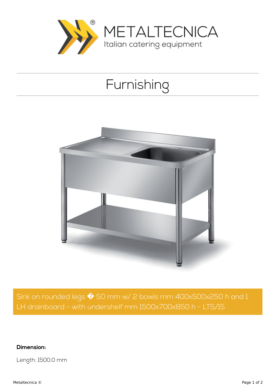

## Furnishing



Sink on rounded legs  $\hat{\blacklozenge}$  50 mm w/ 2 bowls mm 400x500x250 h and 1 LH drainboard - with undershelf mm 1500x700x850 h - LT5/15

**Dimension:**

Length: 1500.0 mm